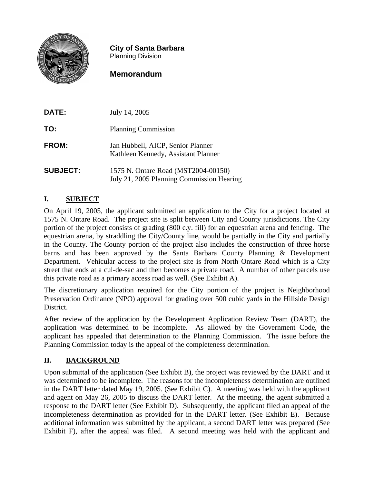

**City of Santa Barbara** Planning Division

# **Memorandum**

| DATE:           | July 14, 2005                                                                    |
|-----------------|----------------------------------------------------------------------------------|
| TO:             | <b>Planning Commission</b>                                                       |
| FROM:           | Jan Hubbell, AICP, Senior Planner<br>Kathleen Kennedy, Assistant Planner         |
| <b>SUBJECT:</b> | 1575 N. Ontare Road (MST2004-00150)<br>July 21, 2005 Planning Commission Hearing |

## **I. SUBJECT**

On April 19, 2005, the applicant submitted an application to the City for a project located at 1575 N. Ontare Road. The project site is split between City and County jurisdictions. The City portion of the project consists of grading (800 c.y. fill) for an equestrian arena and fencing. The equestrian arena, by straddling the City/County line, would be partially in the City and partially in the County. The County portion of the project also includes the construction of three horse barns and has been approved by the Santa Barbara County Planning & Development Department. Vehicular access to the project site is from North Ontare Road which is a City street that ends at a cul-de-sac and then becomes a private road. A number of other parcels use this private road as a primary access road as well. (See Exhibit A).

The discretionary application required for the City portion of the project is Neighborhood Preservation Ordinance (NPO) approval for grading over 500 cubic yards in the Hillside Design District.

After review of the application by the Development Application Review Team (DART), the application was determined to be incomplete. As allowed by the Government Code, the applicant has appealed that determination to the Planning Commission. The issue before the Planning Commission today is the appeal of the completeness determination.

## **II. BACKGROUND**

Upon submittal of the application (See Exhibit B), the project was reviewed by the DART and it was determined to be incomplete. The reasons for the incompleteness determination are outlined in the DART letter dated May 19, 2005. (See Exhibit C). A meeting was held with the applicant and agent on May 26, 2005 to discuss the DART letter. At the meeting, the agent submitted a response to the DART letter (See Exhibit D). Subsequently, the applicant filed an appeal of the incompleteness determination as provided for in the DART letter. (See Exhibit E). Because additional information was submitted by the applicant, a second DART letter was prepared (See Exhibit F), after the appeal was filed. A second meeting was held with the applicant and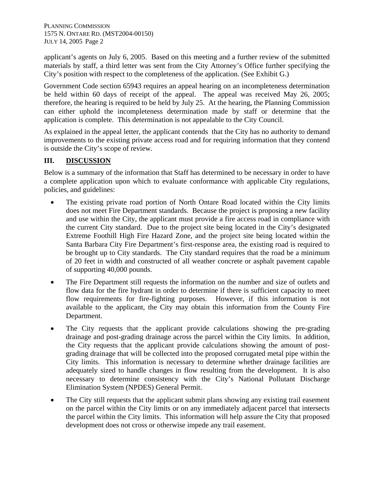PLANNING COMMISSION 1575 N. ONTARE RD. (MST2004-00150) JULY 14, 2005 Page 2

applicant's agents on July 6, 2005. Based on this meeting and a further review of the submitted materials by staff, a third letter was sent from the City Attorney's Office further specifying the City's position with respect to the completeness of the application. (See Exhibit G.)

Government Code section 65943 requires an appeal hearing on an incompleteness determination be held within 60 days of receipt of the appeal. The appeal was received May 26, 2005; therefore, the hearing is required to be held by July 25. At the hearing, the Planning Commission can either uphold the incompleteness determination made by staff or determine that the application is complete. This determination is not appealable to the City Council.

As explained in the appeal letter, the applicant contends that the City has no authority to demand improvements to the existing private access road and for requiring information that they contend is outside the City's scope of review.

## **III. DISCUSSION**

Below is a summary of the information that Staff has determined to be necessary in order to have a complete application upon which to evaluate conformance with applicable City regulations, policies, and guidelines:

- The existing private road portion of North Ontare Road located within the City limits does not meet Fire Department standards. Because the project is proposing a new facility and use within the City, the applicant must provide a fire access road in compliance with the current City standard. Due to the project site being located in the City's designated Extreme Foothill High Fire Hazard Zone, and the project site being located within the Santa Barbara City Fire Department's first-response area, the existing road is required to be brought up to City standards. The City standard requires that the road be a minimum of 20 feet in width and constructed of all weather concrete or asphalt pavement capable of supporting 40,000 pounds.
- The Fire Department still requests the information on the number and size of outlets and flow data for the fire hydrant in order to determine if there is sufficient capacity to meet flow requirements for fire-fighting purposes. However, if this information is not available to the applicant, the City may obtain this information from the County Fire Department.
- The City requests that the applicant provide calculations showing the pre-grading drainage and post-grading drainage across the parcel within the City limits. In addition, the City requests that the applicant provide calculations showing the amount of postgrading drainage that will be collected into the proposed corrugated metal pipe within the City limits. This information is necessary to determine whether drainage facilities are adequately sized to handle changes in flow resulting from the development. It is also necessary to determine consistency with the City's National Pollutant Discharge Elimination System (NPDES) General Permit.
- The City still requests that the applicant submit plans showing any existing trail easement on the parcel within the City limits or on any immediately adjacent parcel that intersects the parcel within the City limits. This information will help assure the City that proposed development does not cross or otherwise impede any trail easement.